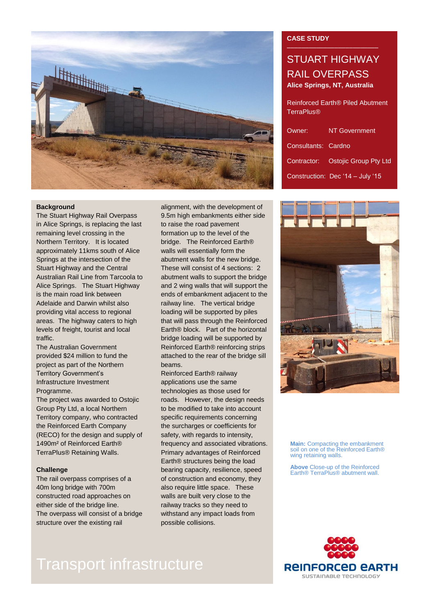

### **Background**

The Stuart Highway Rail Overpass in Alice Springs, is replacing the last remaining level crossing in the Northern Territory. It is located approximately 11kms south of Alice Springs at the intersection of the Stuart Highway and the Central Australian Rail Line from Tarcoola to Alice Springs. The Stuart Highway is the main road link between Adelaide and Darwin whilst also providing vital access to regional areas. The highway caters to high levels of freight, tourist and local traffic.

The Australian Government provided \$24 million to fund the project as part of the Northern Territory Government's Infrastructure Investment Programme.

The project was awarded to Ostojic Group Pty Ltd, a local Northern Territory company, who contracted the Reinforced Earth Company (RECO) for the design and supply of 1490m² of Reinforced Earth® TerraPlus® Retaining Walls.

### **Challenge**

The rail overpass comprises of a 40m long bridge with 700m constructed road approaches on either side of the bridge line. The overpass will consist of a bridge structure over the existing rail

alignment, with the development of 9.5m high embankments either side to raise the road pavement formation up to the level of the bridge. The Reinforced Earth® walls will essentially form the abutment walls for the new bridge. These will consist of 4 sections: 2 abutment walls to support the bridge and 2 wing walls that will support the ends of embankment adjacent to the railway line. The vertical bridge loading will be supported by piles that will pass through the Reinforced Earth® block. Part of the horizontal bridge loading will be supported by Reinforced Earth® reinforcing strips attached to the rear of the bridge sill beams.

Reinforced Earth® railway applications use the same technologies as those used for roads. However, the design needs to be modified to take into account specific requirements concerning the surcharges or coefficients for safety, with regards to intensity, frequency and associated vibrations. Primary advantages of Reinforced Earth® structures being the load bearing capacity, resilience, speed of construction and economy, they also require little space. These walls are built very close to the railway tracks so they need to withstand any impact loads from possible collisions.

### **CASE STUDY**

## STUART HIGHWAY RAIL OVERPASS **Alice Springs, NT, Australia**

Reinforced Earth® Piled Abutment **TerraPlus®** 

| Owner:              | <b>NT Government</b>              |
|---------------------|-----------------------------------|
| Consultants: Cardno |                                   |
|                     | Contractor: Ostojic Group Pty Ltd |
|                     | Construction: Dec '14 - July '15  |



**Main:** Compacting the embankment soil on one of the Reinforced Earth® wing retaining walls.

**Above** Close-up of the Reinforced Earth<sup>®</sup> TerraPlus<sup>®</sup> abutment wall.



# Transport infrastructure